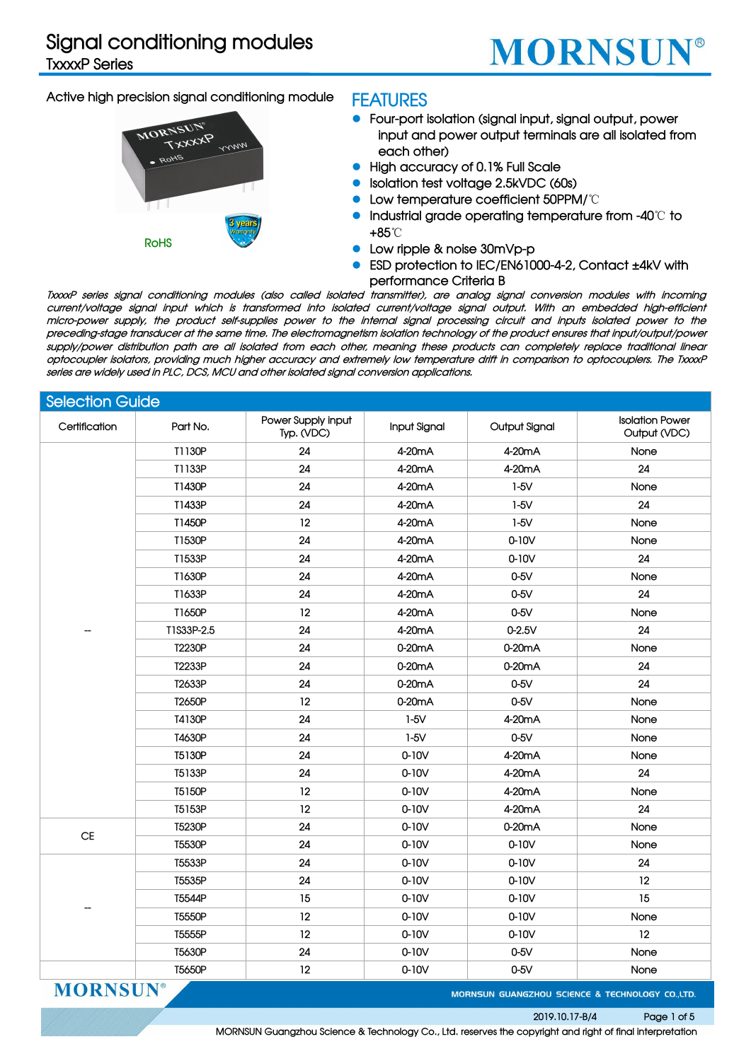### **Signal conditioning modules**

**TxxxxP Series**

## **MORNSUN®**

#### **Active high precision signal conditioning module**



#### **FEATURES**

- **Four-port isolation (signal input, signal output, power input and power output terminals are all isolated from each other)**
- **High accuracy of 0.1% Full Scale**
- **Isolation test voltage 2.5kVDC (60s)**
- **Low temperature coefficient 50PPM/**℃
- **Industrial grade operating temperature from -40**℃ **to +85**℃
- **Low ripple & noise 30mVp-p**
- **ESD protection to IEC/EN61000-4-2, Contact ±4kV with performance Criteria B**

TxxxxP series signal conditioning modules (also called isolated transmitter), are analog signal conversion modules with incoming current/voltage signal input which is transformed into isolated current/voltage signal output. With an embedded high-efficient micro-power supply, the product self-supplies power to the internal signal processing circuit and inputs isolated power to the preceding-stage transducer at the same time. The electromagnetism isolation technology of the product ensures that input/output/power supply/power distribution path are all isolated from each other, meaning these products can completely replace traditional linear optocoupler isolators, providing much higher accuracy and extremely low temperature drift in comparison to optocouplers. The TxxxP **series are widely used in PLC, DCS, MCU and other isolated signal conversion applications.**

| <b>Selection Guide</b> |            |                                  |                     |               |                                        |
|------------------------|------------|----------------------------------|---------------------|---------------|----------------------------------------|
| Certification          | Part No.   | Power Supply input<br>Typ. (VDC) | <b>Input Signal</b> | Output Signal | <b>Isolation Power</b><br>Output (VDC) |
|                        | T1130P     | 24                               | 4-20mA              | 4-20mA        | None                                   |
|                        | T1133P     | 24                               | 4-20mA              | 4-20mA        | 24                                     |
|                        | T1430P     | 24                               | 4-20mA              | $1-5V$        | None                                   |
|                        | T1433P     | 24                               | 4-20mA              | $1-5V$        | 24                                     |
|                        | T1450P     | 12                               | 4-20mA              | $1-5V$        | None                                   |
|                        | T1530P     | 24                               | 4-20mA              | $0-10V$       | None                                   |
|                        | T1533P     | 24                               | 4-20mA              | $0-10V$       | 24                                     |
|                        | T1630P     | 24                               | 4-20mA              | $0-5V$        | None                                   |
|                        | T1633P     | 24                               | 4-20mA              | $0-5V$        | 24                                     |
|                        | T1650P     | 12                               | 4-20mA              | $0-5V$        | None                                   |
|                        | T1S33P-2.5 | 24                               | 4-20mA              | $0 - 2.5V$    | 24                                     |
|                        | T2230P     | 24                               | 0-20mA              | 0-20mA        | None                                   |
|                        | T2233P     | 24                               | 0-20mA              | 0-20mA        | 24                                     |
|                        | T2633P     | 24                               | 0-20mA              | $0-5V$        | 24                                     |
|                        | T2650P     | 12                               | 0-20mA              | $0-5V$        | None                                   |
|                        | T4130P     | 24                               | $1-5V$              | 4-20mA        | None                                   |
|                        | T4630P     | 24                               | $1-5V$              | $0-5V$        | None                                   |
|                        | T5130P     | 24                               | $0-10V$             | 4-20mA        | None                                   |
|                        | T5133P     | 24                               | $0-10V$             | 4-20mA        | 24                                     |
|                        | T5150P     | 12                               | $0-10V$             | 4-20mA        | None                                   |
|                        | T5153P     | 12                               | $0-10V$             | 4-20mA        | 24                                     |
|                        | T5230P     | 24                               | $0-10V$             | 0-20mA        | None                                   |
| $\mathsf{CE}$          | T5530P     | 24                               | $0-10V$             | $0-10V$       | None                                   |
|                        | T5533P     | 24                               | $0-10V$             | $0-10V$       | 24                                     |
|                        | T5535P     | 24                               | $0-10V$             | $0-10V$       | 12                                     |
|                        | T5544P     | 15                               | $0-10V$             | $0-10V$       | 15                                     |
|                        | T5550P     | 12                               | $0-10V$             | $0-10V$       | None                                   |
|                        | T5555P     | 12                               | $0-10V$             | $0-10V$       | 12                                     |
|                        | T5630P     | 24                               | $0-10V$             | $0-5V$        | None                                   |
|                        | T5650P     | 12                               | $0-10V$             | $0-5V$        | None                                   |

**MORNSUN** 

MORNSUN GUANGZHOU SCIENCE & TECHNOLOGY CO.,LTD.

#### **2019.10.17-B/4 Page 1 of 5**

**MORNSUN Guangzhou Science & Technology Co., Ltd. reserves the copyright and right of finalinterpretation**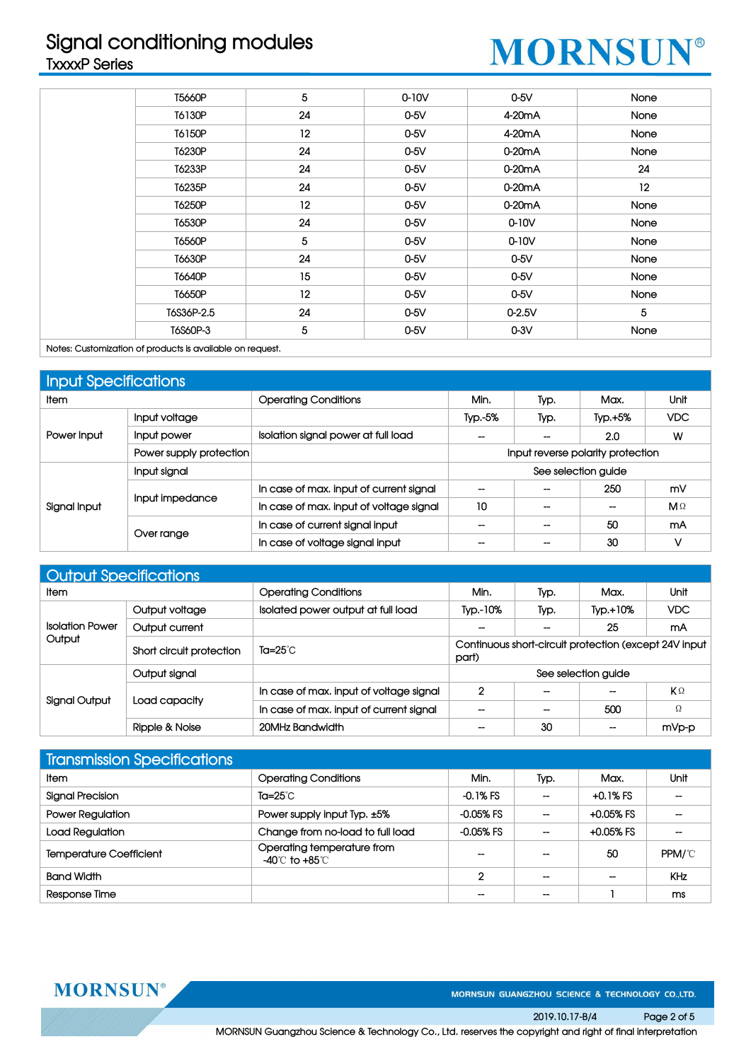### **Signal conditioning modules TxxxxP Series**

## **MORNSUN®**

| T5660P     | 5  | $0-10V$ | $0-5V$              | None |
|------------|----|---------|---------------------|------|
| T6130P     | 24 | $0-5V$  | 4-20 <sub>m</sub> A | None |
| T6150P     | 12 | $0-5V$  | 4-20 <sub>m</sub> A | None |
| T6230P     | 24 | $0-5V$  | 0-20 <sub>m</sub> A | None |
| T6233P     | 24 | $0-5V$  | $0-20mA$            | 24   |
| T6235P     | 24 | $0-5V$  | 0-20 <sub>m</sub> A | 12   |
| T6250P     | 12 | $0-5V$  | $0-20mA$            | None |
| T6530P     | 24 | $0-5V$  | $0-10V$             | None |
| T6560P     | 5  | $0-5V$  | $0-10V$             | None |
| T6630P     | 24 | $0-5V$  | $0-5V$              | None |
| T6640P     | 15 | $0-5V$  | $0-5V$              | None |
| T6650P     | 12 | $0-5V$  | $0-5V$              | None |
| T6S36P-2.5 | 24 | $0-5V$  | $0 - 2.5V$          | 5    |
| T6S60P-3   | 5  | $0-5V$  | $0-3V$              | None |

**Notes: Customization of products is available on request.**

| Input Specifications |                         |                                         |                          |                          |                                   |            |
|----------------------|-------------------------|-----------------------------------------|--------------------------|--------------------------|-----------------------------------|------------|
| <b>Item</b>          |                         | <b>Operating Conditions</b>             | Min.                     | Typ.                     | Max.                              | Unit       |
|                      | Input voltage           |                                         | Typ.-5%                  | Typ.                     | $Typ.+5%$                         | VDC.       |
| Power Input          | Input power             | Isolation signal power at full load     | --                       | $- -$                    | 2.0                               | W          |
|                      | Power supply protection |                                         |                          |                          | Input reverse polarity protection |            |
|                      | Input signal            |                                         |                          |                          | See selection guide               |            |
|                      |                         | In case of max. input of current signal | $\overline{\phantom{a}}$ | $\overline{\phantom{a}}$ | 250                               | mV         |
| Signal Input         | Input impedance         | In case of max. input of voltage signal | 10                       |                          |                                   | $M \Omega$ |
|                      |                         | In case of current signal input         | --                       | $\overline{\phantom{a}}$ | 50                                | mA         |
|                      | Over range              | In case of voltage signal input         |                          |                          | 30                                |            |

| <b>Output Specifications</b> |                          |                                         |                          |      |                                                       |       |
|------------------------------|--------------------------|-----------------------------------------|--------------------------|------|-------------------------------------------------------|-------|
| <b>Item</b>                  |                          | <b>Operating Conditions</b>             | Min.                     | Typ. | Max.                                                  | Unit  |
|                              | Output voltage           | Isolated power output at full load      | Typ.-10%                 | Typ. | $TVD. +10%$                                           | VDC.  |
| <b>Isolation Power</b>       | Output current           |                                         | $\overline{\phantom{a}}$ | --   | 25                                                    | mA    |
| Output                       | Short circuit protection | Ta=25°C                                 | part)                    |      | Continuous short-circuit protection (except 24V input |       |
|                              | Output signal            |                                         |                          |      | See selection guide                                   |       |
|                              |                          | In case of max, input of voltage signal | $\overline{2}$           | $-$  | --                                                    | KΩ    |
| <b>Signal Output</b>         | Load capacity            | In case of max. input of current signal | --                       | $-$  | 500                                                   | Ω     |
|                              | Ripple & Noise           | 20MHz Bandwidth                         | --                       | 30   | --                                                    | mVp-p |

| <b>Transmission Specifications</b> |                                            |             |                          |                   |                          |
|------------------------------------|--------------------------------------------|-------------|--------------------------|-------------------|--------------------------|
| <b>Item</b>                        | <b>Operating Conditions</b>                | Min.        | Typ.                     | Max.              | Unit                     |
| Signal Precision                   | Ta=25°C                                    | -0.1% FS    | $\overline{\phantom{m}}$ | +0.1% FS          | $\hspace{0.05cm}$        |
| <b>Power Regulation</b>            | Power supply input Typ. ±5%                | $-0.05%$ FS | --                       | +0.05% FS         | $\hspace{0.05cm}$        |
| Load Regulation                    | Change from no-load to full load           | $-0.05%$ FS | $\overline{\phantom{m}}$ | $+0.05%$ FS       | $\overline{\phantom{a}}$ |
| <b>Temperature Coefficient</b>     | Operating temperature from<br>-40℃ to +85℃ | $-$         | $\hspace{0.05cm}$        | 50                | PPM/°C                   |
| <b>Band Width</b>                  |                                            | C           | $\hspace{0.05cm}$        | $\hspace{0.05cm}$ | <b>KHz</b>               |
| Response Time                      |                                            |             | $\overline{\phantom{a}}$ |                   | ms                       |

**MORNSUN®** 

MORNSUN GUANGZHOU SCIENCE & TECHNOLOGY CO.,LTD.

**2019.10.17-B/4 Page 2 of 5 MORNSUN Guangzhou Science & Technology Co., Ltd. reserves the copyright and right of finalinterpretation**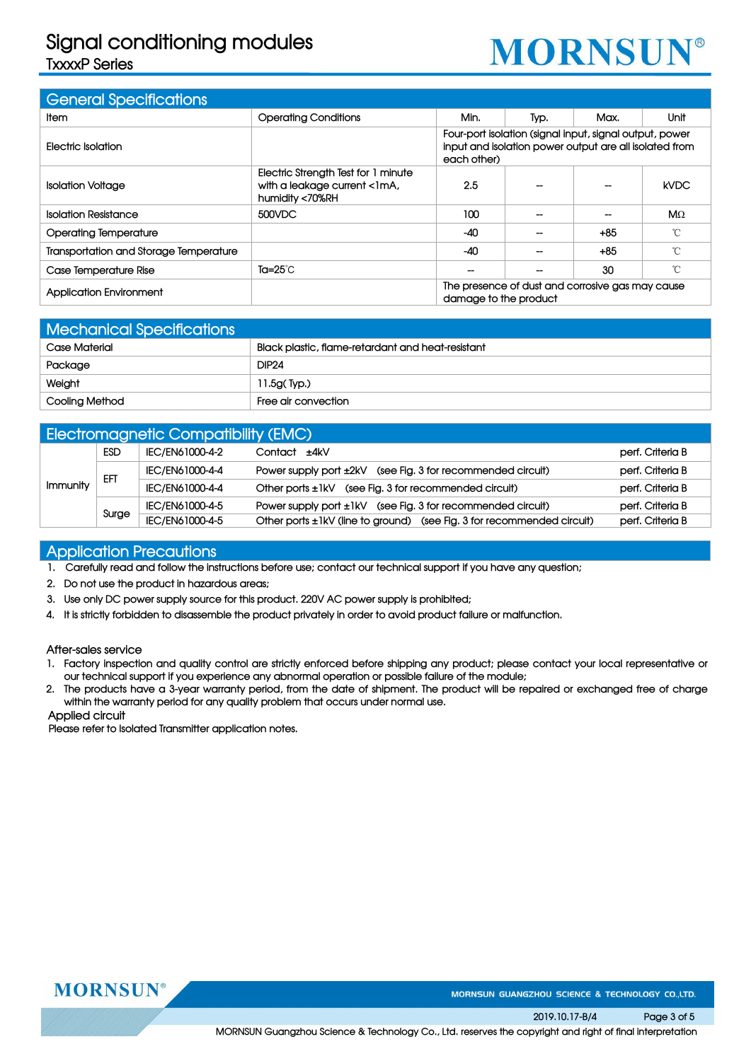### **Signal conditioning modules**

**TxxxxP Series**

# **MORNSUN®**

| <b>General Specifications</b>          |                                                                                        |                       |                                                                                                                   |       |             |
|----------------------------------------|----------------------------------------------------------------------------------------|-----------------------|-------------------------------------------------------------------------------------------------------------------|-------|-------------|
| ltem                                   | <b>Operating Conditions</b>                                                            | Min.                  | Typ.                                                                                                              | Max.  | Unit        |
| Electric Isolation                     |                                                                                        | each other)           | Four-port isolation (signal input, signal output, power<br>input and isolation power output are all isolated from |       |             |
| <b>Isolation Voltage</b>               | Electric Strength Test for 1 minute<br>with a leakage current <1mA,<br>humidity <70%RH | 2.5                   |                                                                                                                   |       | <b>kVDC</b> |
| <b>Isolation Resistance</b>            | 500VDC                                                                                 | 100                   |                                                                                                                   |       | $M\Omega$   |
| <b>Operating Temperature</b>           |                                                                                        | $-40$                 |                                                                                                                   | $+85$ | °C          |
| Transportation and Storage Temperature |                                                                                        | $-40$                 |                                                                                                                   | $+85$ | °C          |
| Case Temperature Rise                  | Ta= $25^{\circ}$ C                                                                     |                       |                                                                                                                   | 30    | °C          |
| <b>Application Environment</b>         |                                                                                        | damage to the product | The presence of dust and corrosive gas may cause                                                                  |       |             |

| <b>Mechanical Specifications</b> |                                                   |
|----------------------------------|---------------------------------------------------|
| <b>Case Material</b>             | Black plastic, flame-retardant and heat-resistant |
| Package                          | <b>DIP24</b>                                      |
| Weight                           | 11.5g(Typ.)                                       |
| Cooling Method                   | Free air convection                               |

|          |            | <b>Electromagnetic Compatibility (EMC)</b> |                                                                        |                  |
|----------|------------|--------------------------------------------|------------------------------------------------------------------------|------------------|
|          | <b>ESD</b> | IEC/EN61000-4-2                            | Contact ±4kV                                                           | perf. Criteria B |
|          | EFT        | IEC/EN61000-4-4                            | Power supply port ±2kV (see Fig. 3 for recommended circuit)            | perf. Criteria B |
| Immunity |            | IEC/EN61000-4-4                            | Other ports ±1kV (see Fig. 3 for recommended circuit)                  | perf. Criteria B |
|          | Surge      | IEC/EN61000-4-5                            | Power supply port ±1kV (see Fig. 3 for recommended circuit)            | perf. Criteria B |
|          |            | IEC/EN61000-4-5                            | Other ports ±1kV (line to ground) (see Fig. 3 for recommended circuit) | perf. Criteria B |

#### **Application Precautions**

- 1. Carefully read and follow the instructions before use; contact our technical support if you have any question;
- **2. Do not use the product in hazardous areas;**
- **3. Use onlyDC power supply source for this product. 220V AC power supply is prohibited;**
- 4. It is strictly forbidden to disassemble the product privately in order to avoid product failure or malfunction.

#### **After-sales service**

- 1. Factory inspection and quality control are strictly enforced before shipping any product; please contact your local representative or **our technical support if you experience any abnormal operation or possible failure of the module;**
- 2. The products have a 3-year warranty period, from the date of shipment. The product will be repaired or exchanged free of charge **within the warranty period for any quality problem that occurs under normal use.**

#### **Applied circuit**

**Please refer to Isolated Transmitter application notes.**



MORNSUN GUANGZHOU SCIENCE & TECHNOLOGY CO.,LTD.

**2019.10.17-B/4 Page 3 of 5**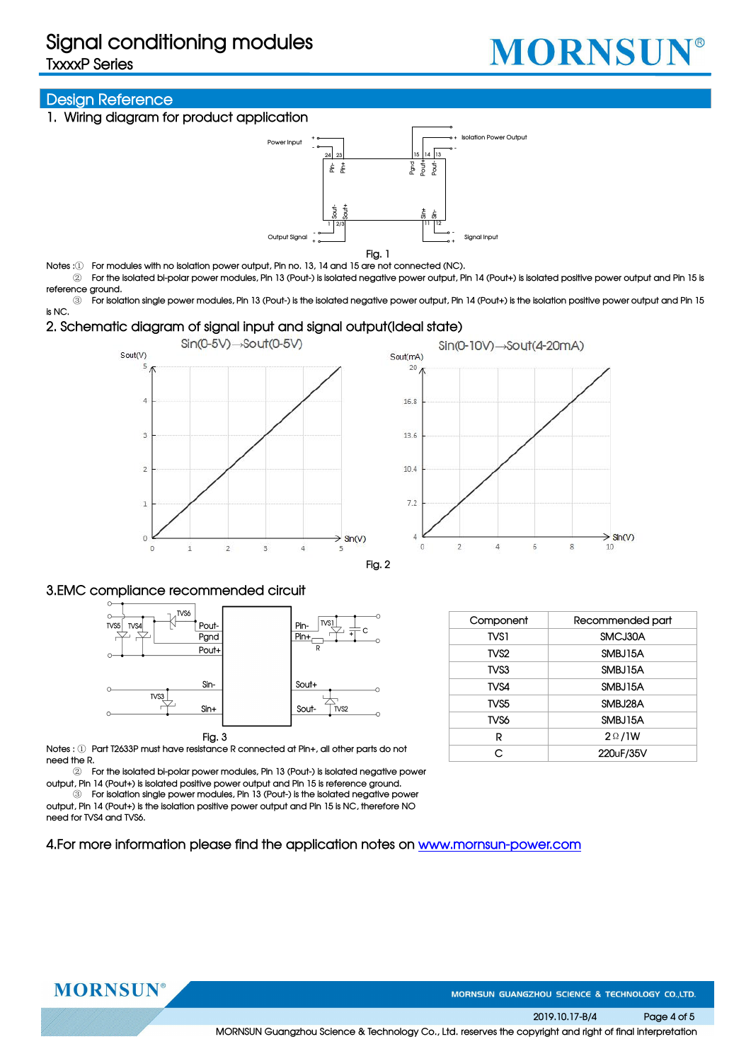**TxxxxP Series**



#### **Design Reference**

**1. Wiring diagram for product application**



**Fig. 1**

- Notes : $(i)$  For modules with no isolation power output, Pin no. 13, 14 and 15 are not connected (NC).
- 2) For the isolated bi-polar power modules, Pin 13 (Pout-) is isolated negative power output, Pin 14 (Pout+) is isolated positive power output and Pin 15 is **reference ground.**

3 For isolation single power modules, Pin 13 (Pout-) is the isolated negative power output, Pin 14 (Pout+) is the isolation positive power output and Pin 15 **is NC.**

#### **2. Schematic diagram of signal input and signal output(Ideal state)**





**Fig. 2**

#### **3.EMC compliance recommended circuit**



**Notes :** ① **Part T2633P must have resistance R connected at Pin+, all other parts do not need the R.**

② **For the isolated bi-polar power modules, Pin 13 (Pout-)is isolated negative power output, Pin 14 (Pout+) is isolated positive poweroutput and Pin 15 is reference ground.**

③ **For isolation single power modules, Pin 13 (Pout-)is the isolated negative power output, Pin 14 (Pout+) is the isolation positive power output and Pin 15 is NC,therefore NO need for TVS4 and TVS6.**

**4.For more information please find the application notes on www.mornsun-power.com**

| Component        | Recommended part |
|------------------|------------------|
| TVS1             | SMCJ30A          |
| TVS <sub>2</sub> | SMBJ15A          |
| TVS3             | SMBJ15A          |
| TVS4             | SMBJ15A          |
| TVS <sub>5</sub> | SMBJ28A          |
| TVS6             | SMBJ15A          |
| R                | $2 \Omega / 1 W$ |
|                  | 220uF/35V        |



MORNSUN GUANGZHOU SCIENCE & TECHNOLOGY CO.,LTD.